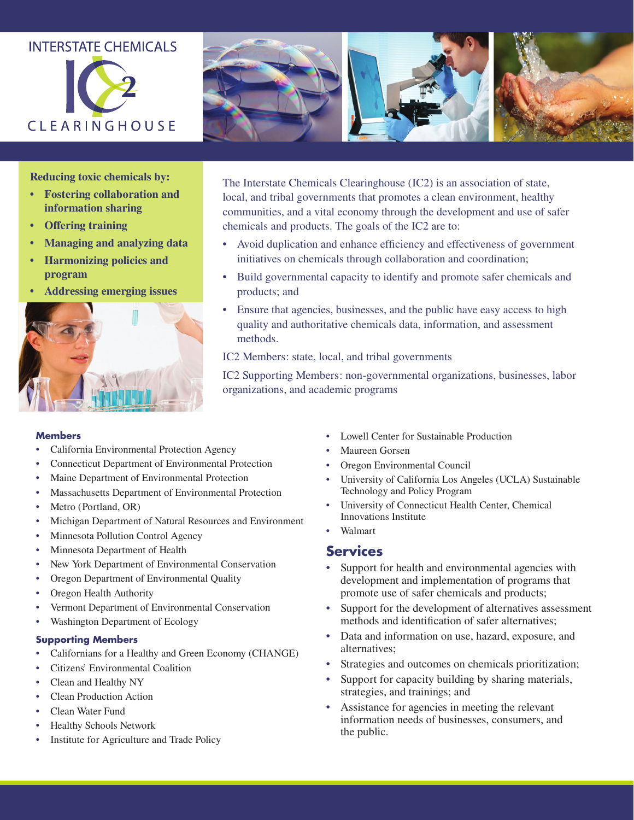# **INTERSTATE CHEMICALS**





**Reducing toxic chemicals by:**

- **• Fostering collaboration and information sharing**
- **• Offering training**
- **• Managing and analyzing data**
- **• Harmonizing policies and program**
- **• Addressing emerging issues**



The Interstate Chemicals Clearinghouse (IC2) is an association of state, local, and tribal governments that promotes a clean environment, healthy communities, and a vital economy through the development and use of safer chemicals and products. The goals of the IC2 are to:

- Avoid duplication and enhance efficiency and effectiveness of government initiatives on chemicals through collaboration and coordination;
- Build governmental capacity to identify and promote safer chemicals and products; and
- Ensure that agencies, businesses, and the public have easy access to high quality and authoritative chemicals data, information, and assessment methods.

IC2 Members: state, local, and tribal governments

IC2 Supporting Members: non-governmental organizations, businesses, labor organizations, and academic programs

#### **Members**

- California Environmental Protection Agency
- Connecticut Department of Environmental Protection
- Maine Department of Environmental Protection
- Massachusetts Department of Environmental Protection
- Metro (Portland, OR)
- Michigan Department of Natural Resources and Environment
- Minnesota Pollution Control Agency
- Minnesota Department of Health
- New York Department of Environmental Conservation
- Oregon Department of Environmental Quality
- Oregon Health Authority
- Vermont Department of Environmental Conservation
- Washington Department of Ecology

#### **Supporting Members**

- Californians for a Healthy and Green Economy (CHANGE)
- Citizens' Environmental Coalition
- Clean and Healthy NY
- Clean Production Action
- Clean Water Fund
- Healthy Schools Network
- Institute for Agriculture and Trade Policy
- Lowell Center for Sustainable Production
- Maureen Gorsen
- Oregon Environmental Council
- University of California Los Angeles (UCLA) Sustainable Technology and Policy Program
- University of Connecticut Health Center, Chemical Innovations Institute
- Walmart

## **Services**

- Support for health and environmental agencies with development and implementation of programs that promote use of safer chemicals and products;
- Support for the development of alternatives assessment methods and identification of safer alternatives;
- Data and information on use, hazard, exposure, and alternatives;
- Strategies and outcomes on chemicals prioritization;
- Support for capacity building by sharing materials, strategies, and trainings; and
- Assistance for agencies in meeting the relevant information needs of businesses, consumers, and the public.